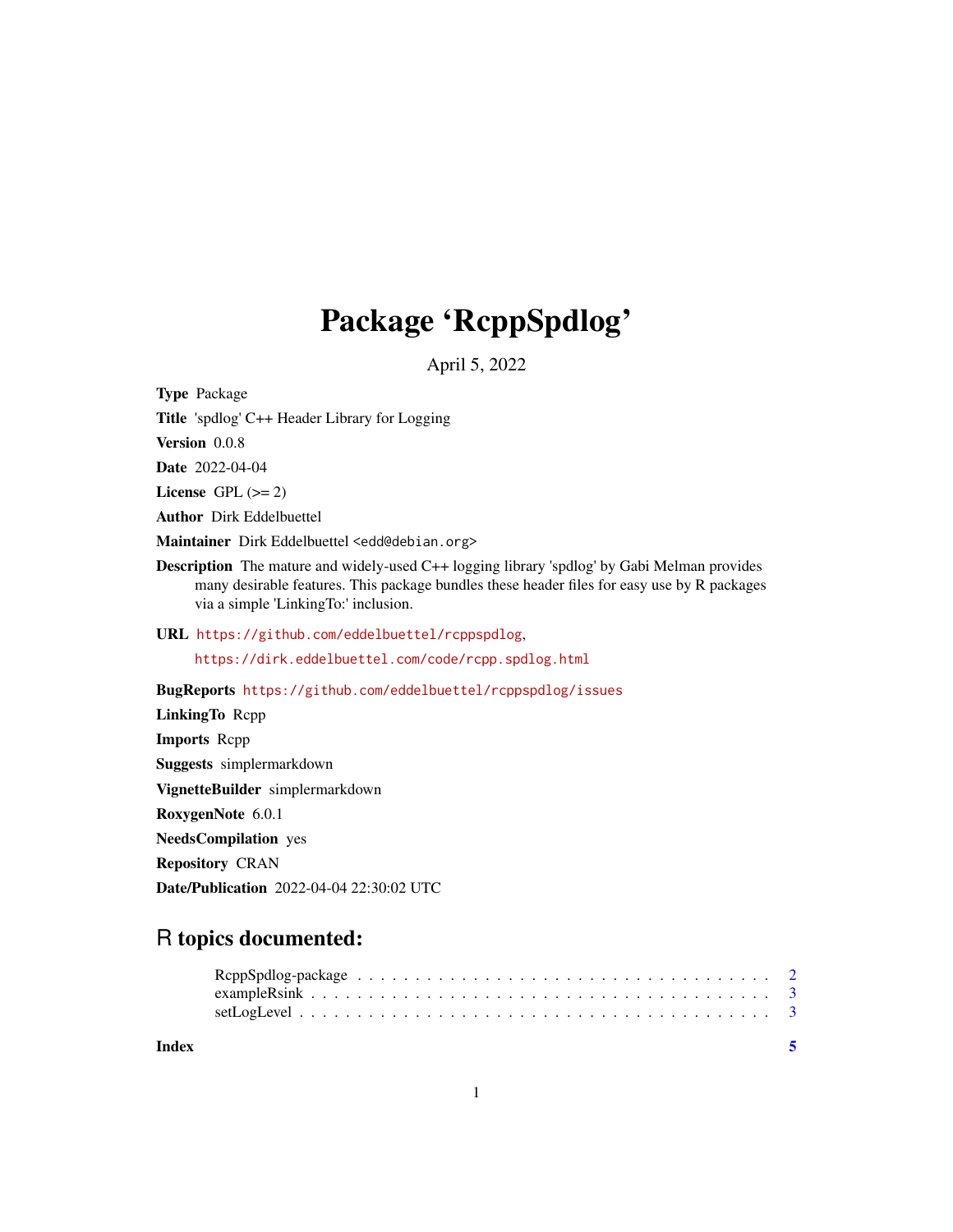## Package 'RcppSpdlog'

April 5, 2022

Type Package Title 'spdlog' C++ Header Library for Logging Version 0.0.8 Date 2022-04-04 License GPL  $(>= 2)$ Author Dirk Eddelbuettel Maintainer Dirk Eddelbuettel <edd@debian.org> Description The mature and widely-used C++ logging library 'spdlog' by Gabi Melman provides many desirable features. This package bundles these header files for easy use by R packages via a simple 'LinkingTo:' inclusion. URL <https://github.com/eddelbuettel/rcppspdlog>, <https://dirk.eddelbuettel.com/code/rcpp.spdlog.html> BugReports <https://github.com/eddelbuettel/rcppspdlog/issues> LinkingTo Rcpp Imports Rcpp Suggests simplermarkdown VignetteBuilder simplermarkdown RoxygenNote 6.0.1 NeedsCompilation yes Repository CRAN Date/Publication 2022-04-04 22:30:02 UTC

### R topics documented: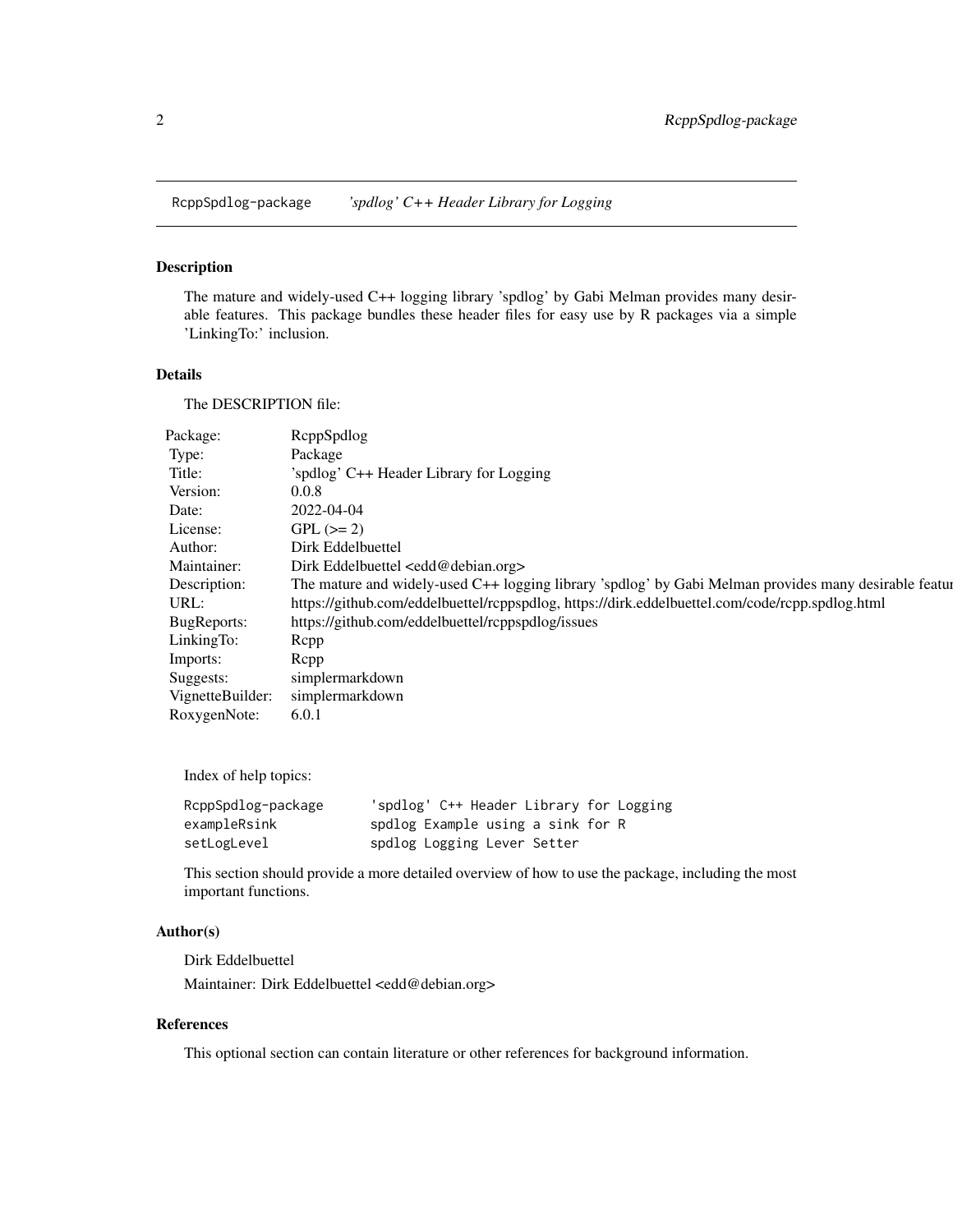<span id="page-1-0"></span>RcppSpdlog-package *'spdlog' C++ Header Library for Logging*

#### Description

The mature and widely-used C++ logging library 'spdlog' by Gabi Melman provides many desirable features. This package bundles these header files for easy use by R packages via a simple 'LinkingTo:' inclusion.

#### Details

The DESCRIPTION file:

| Package:         | ReppSpdlog                                                                                              |
|------------------|---------------------------------------------------------------------------------------------------------|
| Type:            | Package                                                                                                 |
| Title:           | 'spdlog' C++ Header Library for Logging                                                                 |
| Version:         | 0.0.8                                                                                                   |
| Date:            | 2022-04-04                                                                                              |
| License:         | $GPL (=2)$                                                                                              |
| Author:          | Dirk Eddelbuettel                                                                                       |
| Maintainer:      | Dirk Eddelbuettel <edd@debian.org></edd@debian.org>                                                     |
| Description:     | The mature and widely-used C++ logging library 'spdlog' by Gabi Melman provides many desirable featured |
| URL:             | https://github.com/eddelbuettel/rcppspdlog, https://dirk.eddelbuettel.com/code/rcpp.spdlog.html         |
| BugReports:      | https://github.com/eddelbuettel/rcppspdlog/issues                                                       |
| LinkingTo:       | Rcpp                                                                                                    |
| Imports:         | Rcpp                                                                                                    |
| Suggests:        | simplermarkdown                                                                                         |
| VignetteBuilder: | simplermarkdown                                                                                         |
| RoxygenNote:     | 6.0.1                                                                                                   |

Index of help topics:

| RcppSpdlog-package | 'spdlog' C++ Header Library for Logging |  |
|--------------------|-----------------------------------------|--|
| exampleRsink       | spdlog Example using a sink for R       |  |
| setLogLevel        | spdlog Logging Lever Setter             |  |

This section should provide a more detailed overview of how to use the package, including the most important functions.

#### Author(s)

Dirk Eddelbuettel Maintainer: Dirk Eddelbuettel <edd@debian.org>

#### References

This optional section can contain literature or other references for background information.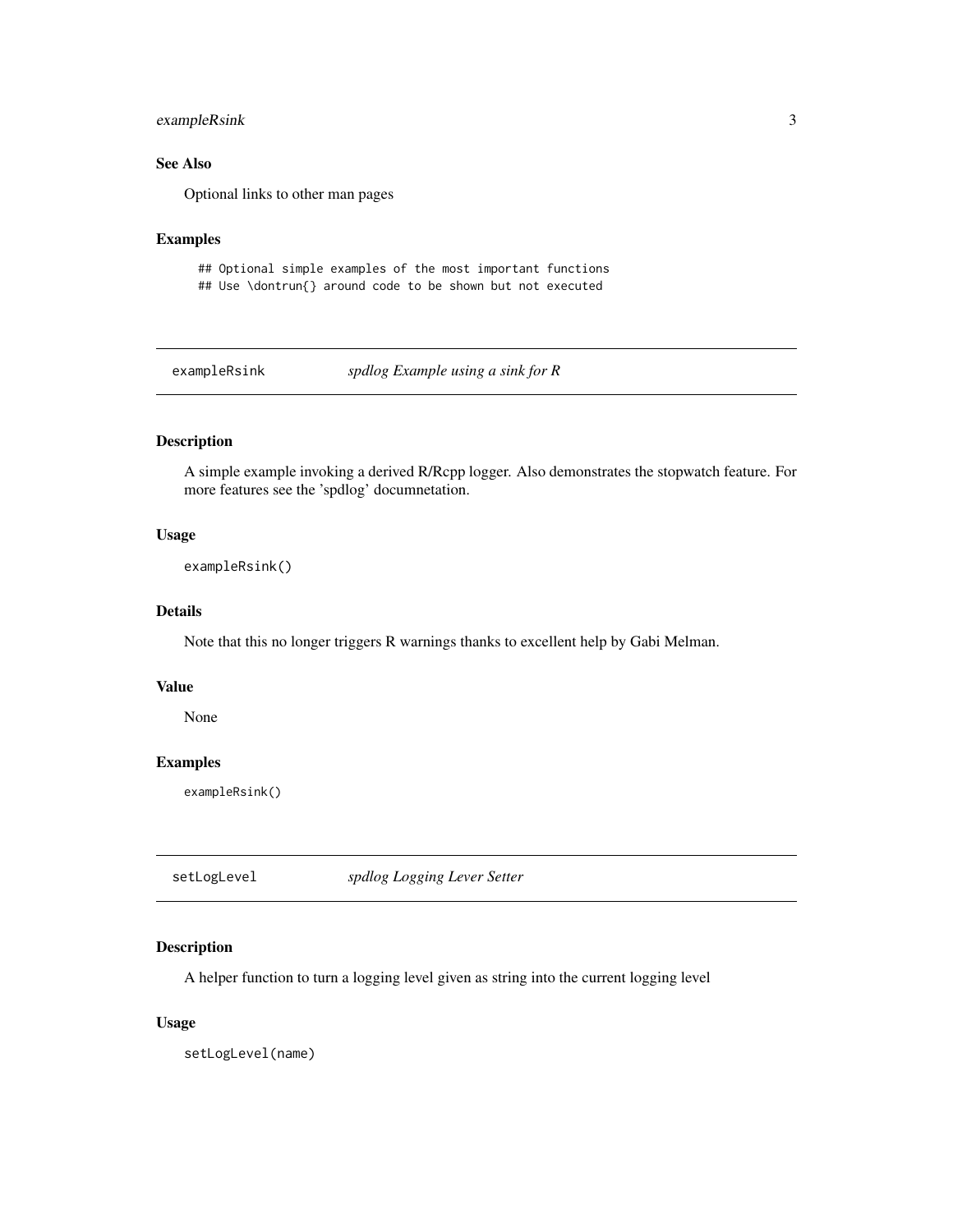#### <span id="page-2-0"></span>exampleRsink 3

#### See Also

Optional links to other man pages

#### Examples

## Optional simple examples of the most important functions ## Use \dontrun{} around code to be shown but not executed

exampleRsink *spdlog Example using a sink for R*

#### Description

A simple example invoking a derived R/Rcpp logger. Also demonstrates the stopwatch feature. For more features see the 'spdlog' documnetation.

#### Usage

```
exampleRsink()
```
#### Details

Note that this no longer triggers R warnings thanks to excellent help by Gabi Melman.

#### Value

None

#### Examples

exampleRsink()

setLogLevel *spdlog Logging Lever Setter*

#### Description

A helper function to turn a logging level given as string into the current logging level

#### Usage

setLogLevel(name)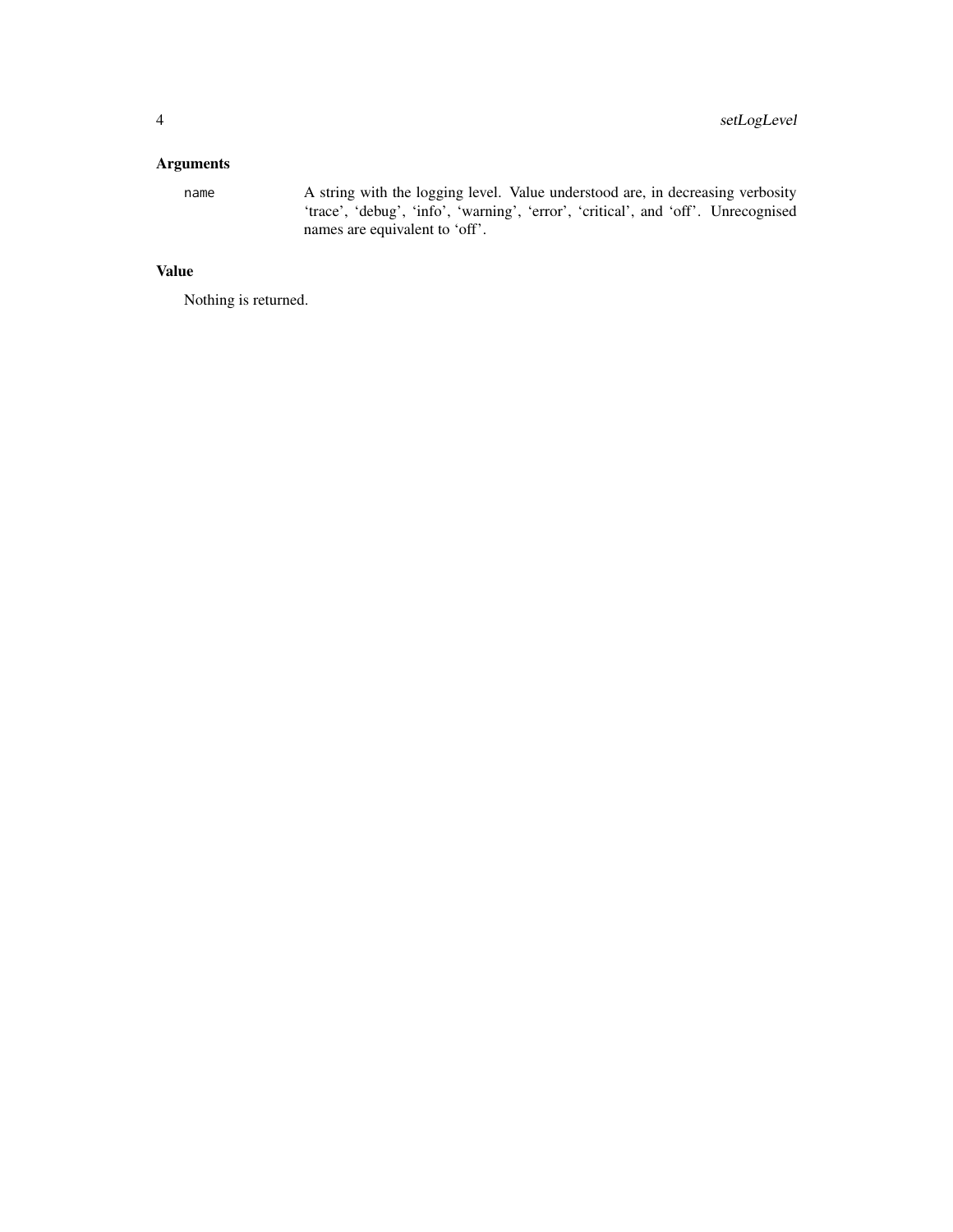#### Arguments

name A string with the logging level. Value understood are, in decreasing verbosity 'trace', 'debug', 'info', 'warning', 'error', 'critical', and 'off'. Unrecognised names are equivalent to 'off'.

#### Value

Nothing is returned.